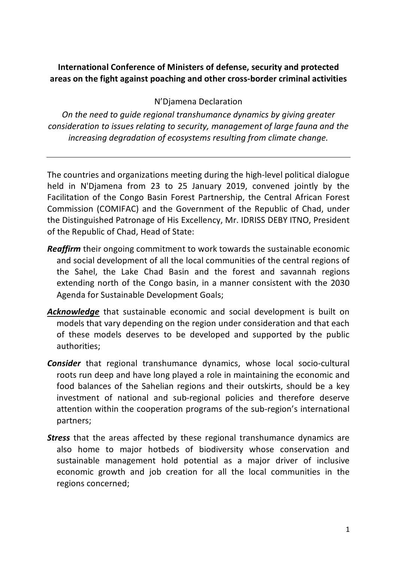## **International Conference of Ministers of defense, security and protected areas on the fight against poaching and other cross-border criminal activities**

N'Djamena Declaration

*On the need to guide regional transhumance dynamics by giving greater consideration to issues relating to security, management of large fauna and the increasing degradation of ecosystems resulting from climate change.*

The countries and organizations meeting during the high-level political dialogue held in N'Djamena from 23 to 25 January 2019, convened jointly by the Facilitation of the Congo Basin Forest Partnership, the Central African Forest Commission (COMIFAC) and the Government of the Republic of Chad, under the Distinguished Patronage of His Excellency, Mr. IDRISS DEBY ITNO, President of the Republic of Chad, Head of State:

- *Reaffirm* their ongoing commitment to work towards the sustainable economic and social development of all the local communities of the central regions of the Sahel, the Lake Chad Basin and the forest and savannah regions extending north of the Congo basin, in a manner consistent with the 2030 Agenda for Sustainable Development Goals;
- *Acknowledge* that sustainable economic and social development is built on models that vary depending on the region under consideration and that each of these models deserves to be developed and supported by the public authorities;
- *Consider* that regional transhumance dynamics, whose local socio-cultural roots run deep and have long played a role in maintaining the economic and food balances of the Sahelian regions and their outskirts, should be a key investment of national and sub-regional policies and therefore deserve attention within the cooperation programs of the sub-region's international partners;
- *Stress* that the areas affected by these regional transhumance dynamics are also home to major hotbeds of biodiversity whose conservation and sustainable management hold potential as a major driver of inclusive economic growth and job creation for all the local communities in the regions concerned;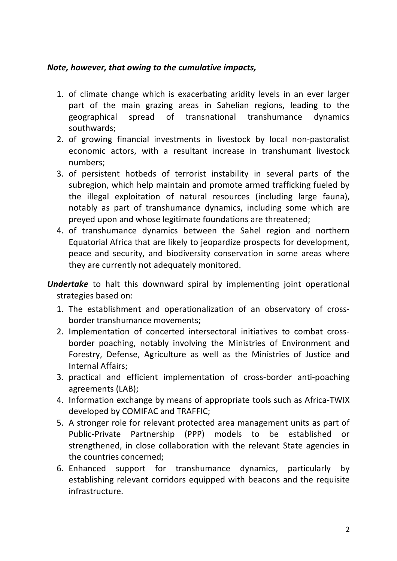## *Note, however, that owing to the cumulative impacts,*

- 1. of climate change which is exacerbating aridity levels in an ever larger part of the main grazing areas in Sahelian regions, leading to the geographical spread of transnational transhumance dynamics southwards;
- 2. of growing financial investments in livestock by local non-pastoralist economic actors, with a resultant increase in transhumant livestock numbers;
- 3. of persistent hotbeds of terrorist instability in several parts of the subregion, which help maintain and promote armed trafficking fueled by the illegal exploitation of natural resources (including large fauna), notably as part of transhumance dynamics, including some which are preyed upon and whose legitimate foundations are threatened;
- 4. of transhumance dynamics between the Sahel region and northern Equatorial Africa that are likely to jeopardize prospects for development, peace and security, and biodiversity conservation in some areas where they are currently not adequately monitored.
- *Undertake* to halt this downward spiral by implementing joint operational strategies based on:
	- 1. The establishment and operationalization of an observatory of crossborder transhumance movements;
	- 2. Implementation of concerted intersectoral initiatives to combat crossborder poaching, notably involving the Ministries of Environment and Forestry, Defense, Agriculture as well as the Ministries of Justice and Internal Affairs;
	- 3. practical and efficient implementation of cross-border anti-poaching agreements (LAB);
	- 4. Information exchange by means of appropriate tools such as Africa-TWIX developed by COMIFAC and TRAFFIC;
	- 5. A stronger role for relevant protected area management units as part of Public-Private Partnership (PPP) models to be established or strengthened, in close collaboration with the relevant State agencies in the countries concerned;
	- 6. Enhanced support for transhumance dynamics, particularly by establishing relevant corridors equipped with beacons and the requisite infrastructure.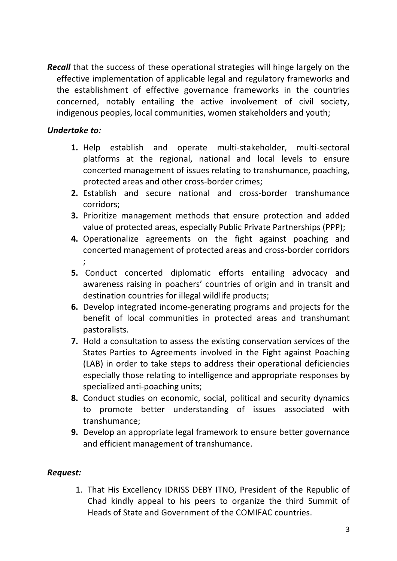*Recall* that the success of these operational strategies will hinge largely on the effective implementation of applicable legal and regulatory frameworks and the establishment of effective governance frameworks in the countries concerned, notably entailing the active involvement of civil society, indigenous peoples, local communities, women stakeholders and youth;

## *Undertake to:*

- **1.** Help establish and operate multi-stakeholder, multi-sectoral platforms at the regional, national and local levels to ensure concerted management of issues relating to transhumance, poaching, protected areas and other cross-border crimes;
- **2.** Establish and secure national and cross-border transhumance corridors;
- **3.** Prioritize management methods that ensure protection and added value of protected areas, especially Public Private Partnerships (PPP);
- **4.** Operationalize agreements on the fight against poaching and concerted management of protected areas and cross-border corridors ;
- **5.** Conduct concerted diplomatic efforts entailing advocacy and awareness raising in poachers' countries of origin and in transit and destination countries for illegal wildlife products;
- **6.** Develop integrated income-generating programs and projects for the benefit of local communities in protected areas and transhumant pastoralists.
- **7.** Hold a consultation to assess the existing conservation services of the States Parties to Agreements involved in the Fight against Poaching (LAB) in order to take steps to address their operational deficiencies especially those relating to intelligence and appropriate responses by specialized anti-poaching units;
- **8.** Conduct studies on economic, social, political and security dynamics to promote better understanding of issues associated with transhumance;
- **9.** Develop an appropriate legal framework to ensure better governance and efficient management of transhumance.

## *Request:*

1. That His Excellency IDRISS DEBY ITNO, President of the Republic of Chad kindly appeal to his peers to organize the third Summit of Heads of State and Government of the COMIFAC countries.